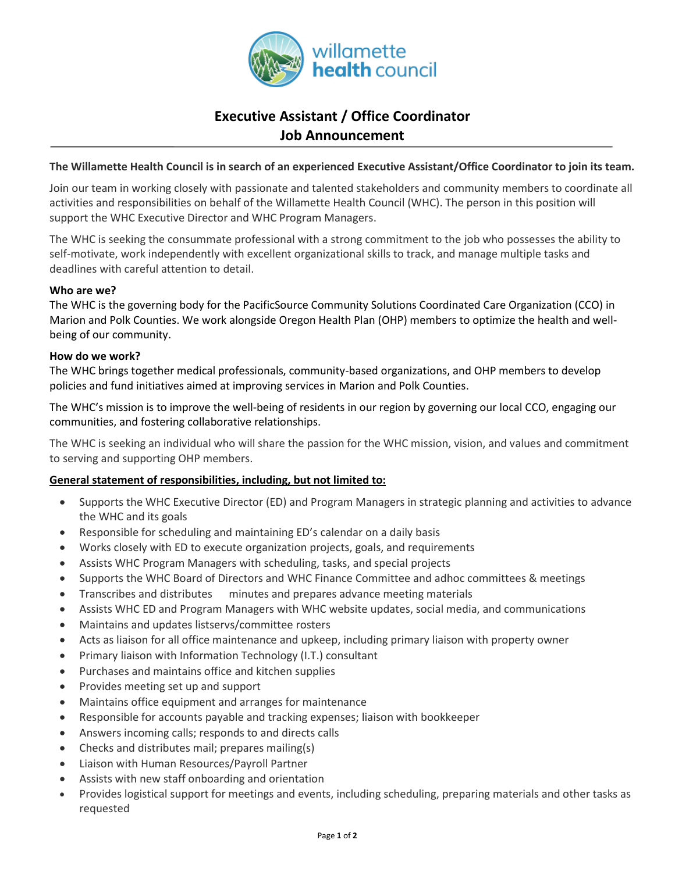

# **Executive Assistant / Office Coordinator Job Announcement**

# **The Willamette Health Council is in search of an experienced Executive Assistant/Office Coordinator to join its team.**

Join our team in working closely with passionate and talented stakeholders and community members to coordinate all activities and responsibilities on behalf of the Willamette Health Council (WHC). The person in this position will support the WHC Executive Director and WHC Program Managers.

The WHC is seeking the consummate professional with a strong commitment to the job who possesses the ability to self-motivate, work independently with excellent organizational skills to track, and manage multiple tasks and deadlines with careful attention to detail.

# **Who are we?**

The WHC is the governing body for the PacificSource Community Solutions Coordinated Care Organization (CCO) in Marion and Polk Counties. We work alongside Oregon Health Plan (OHP) members to optimize the health and wellbeing of our community.

#### **How do we work?**

The WHC brings together medical professionals, community-based organizations, and OHP members to develop policies and fund initiatives aimed at improving services in Marion and Polk Counties.

The WHC's mission is to improve the well-being of residents in our region by governing our local CCO, engaging our communities, and fostering collaborative relationships.

The WHC is seeking an individual who will share the passion for the WHC mission, vision, and values and commitment to serving and supporting OHP members.

# **General statement of responsibilities, including, but not limited to:**

- Supports the WHC Executive Director (ED) and Program Managers in strategic planning and activities to advance the WHC and its goals
- Responsible for scheduling and maintaining ED's calendar on a daily basis
- Works closely with ED to execute organization projects, goals, and requirements
- Assists WHC Program Managers with scheduling, tasks, and special projects
- Supports the WHC Board of Directors and WHC Finance Committee and adhoc committees & meetings
- Transcribes and distributes minutes and prepares advance meeting materials
- Assists WHC ED and Program Managers with WHC website updates, social media, and communications
- Maintains and updates listservs/committee rosters
- Acts as liaison for all office maintenance and upkeep, including primary liaison with property owner
- Primary liaison with Information Technology (I.T.) consultant
- Purchases and maintains office and kitchen supplies
- Provides meeting set up and support
- Maintains office equipment and arranges for maintenance
- Responsible for accounts payable and tracking expenses; liaison with bookkeeper
- Answers incoming calls; responds to and directs calls
- Checks and distributes mail; prepares mailing(s)
- Liaison with Human Resources/Payroll Partner
- Assists with new staff onboarding and orientation
- Provides logistical support for meetings and events, including scheduling, preparing materials and other tasks as requested